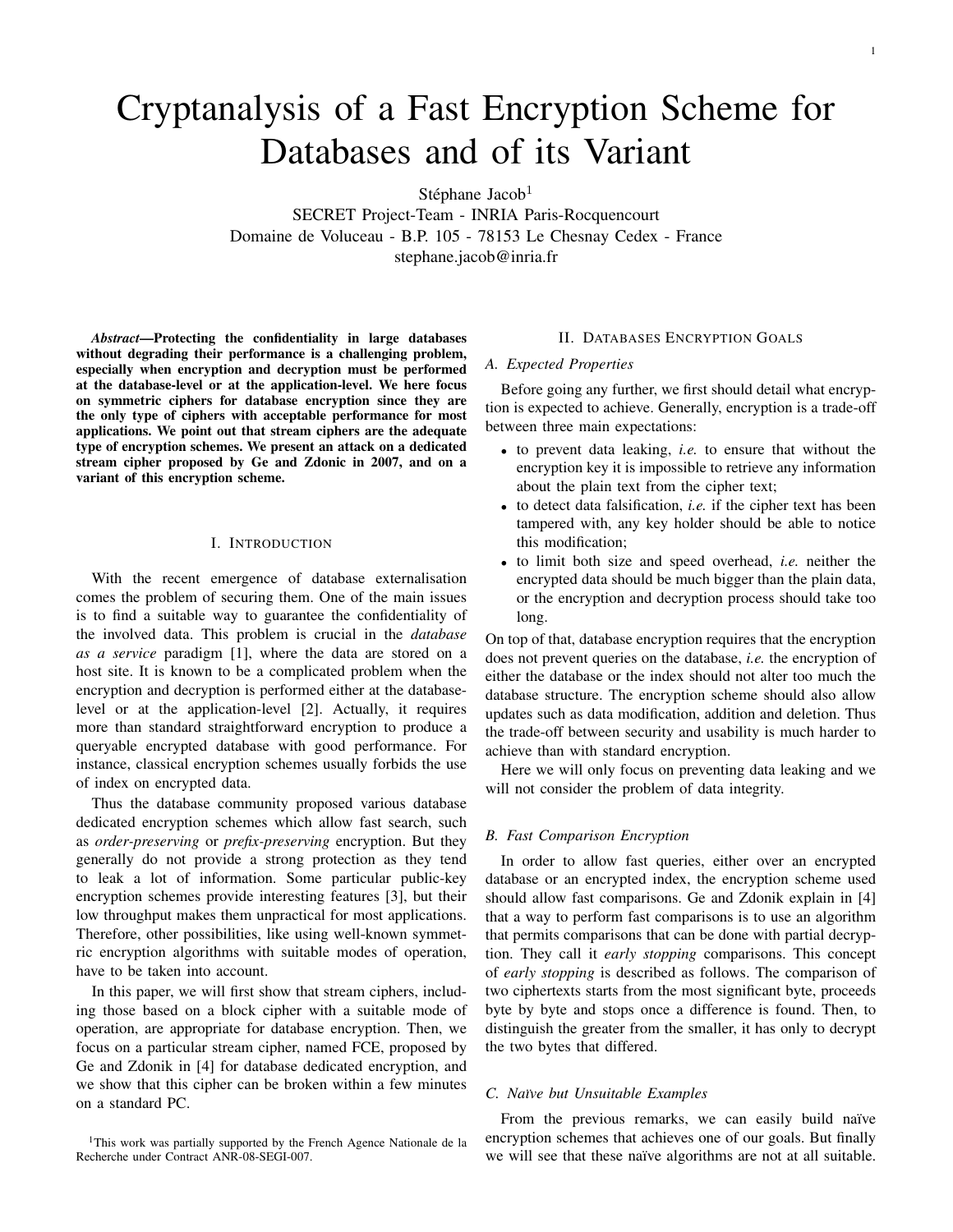# Cryptanalysis of a Fast Encryption Scheme for Databases and of its Variant

Stéphane Jacob<sup>1</sup>

SECRET Project-Team - INRIA Paris-Rocquencourt Domaine de Voluceau - B.P. 105 - 78153 Le Chesnay Cedex - France stephane.jacob@inria.fr

*Abstract*—Protecting the confidentiality in large databases without degrading their performance is a challenging problem, especially when encryption and decryption must be performed at the database-level or at the application-level. We here focus on symmetric ciphers for database encryption since they are the only type of ciphers with acceptable performance for most applications. We point out that stream ciphers are the adequate type of encryption schemes. We present an attack on a dedicated stream cipher proposed by Ge and Zdonic in 2007, and on a variant of this encryption scheme.

## I. INTRODUCTION

With the recent emergence of database externalisation comes the problem of securing them. One of the main issues is to find a suitable way to guarantee the confidentiality of the involved data. This problem is crucial in the *database as a service* paradigm [1], where the data are stored on a host site. It is known to be a complicated problem when the encryption and decryption is performed either at the databaselevel or at the application-level [2]. Actually, it requires more than standard straightforward encryption to produce a queryable encrypted database with good performance. For instance, classical encryption schemes usually forbids the use of index on encrypted data.

Thus the database community proposed various database dedicated encryption schemes which allow fast search, such as *order-preserving* or *prefix-preserving* encryption. But they generally do not provide a strong protection as they tend to leak a lot of information. Some particular public-key encryption schemes provide interesting features [3], but their low throughput makes them unpractical for most applications. Therefore, other possibilities, like using well-known symmetric encryption algorithms with suitable modes of operation, have to be taken into account.

In this paper, we will first show that stream ciphers, including those based on a block cipher with a suitable mode of operation, are appropriate for database encryption. Then, we focus on a particular stream cipher, named FCE, proposed by Ge and Zdonik in [4] for database dedicated encryption, and we show that this cipher can be broken within a few minutes on a standard PC.

## II. DATABASES ENCRYPTION GOALS

#### *A. Expected Properties*

Before going any further, we first should detail what encryption is expected to achieve. Generally, encryption is a trade-off between three main expectations:

- to prevent data leaking, *i.e.* to ensure that without the encryption key it is impossible to retrieve any information about the plain text from the cipher text;
- to detect data falsification, *i.e.* if the cipher text has been tampered with, any key holder should be able to notice this modification;
- to limit both size and speed overhead, *i.e.* neither the encrypted data should be much bigger than the plain data, or the encryption and decryption process should take too long.

On top of that, database encryption requires that the encryption does not prevent queries on the database, *i.e.* the encryption of either the database or the index should not alter too much the database structure. The encryption scheme should also allow updates such as data modification, addition and deletion. Thus the trade-off between security and usability is much harder to achieve than with standard encryption.

Here we will only focus on preventing data leaking and we will not consider the problem of data integrity.

#### *B. Fast Comparison Encryption*

In order to allow fast queries, either over an encrypted database or an encrypted index, the encryption scheme used should allow fast comparisons. Ge and Zdonik explain in [4] that a way to perform fast comparisons is to use an algorithm that permits comparisons that can be done with partial decryption. They call it *early stopping* comparisons. This concept of *early stopping* is described as follows. The comparison of two ciphertexts starts from the most significant byte, proceeds byte by byte and stops once a difference is found. Then, to distinguish the greater from the smaller, it has only to decrypt the two bytes that differed.

## *C. Na¨ıve but Unsuitable Examples*

From the previous remarks, we can easily build naïve encryption schemes that achieves one of our goals. But finally we will see that these naïve algorithms are not at all suitable.

<sup>&</sup>lt;sup>1</sup>This work was partially supported by the French Agence Nationale de la Recherche under Contract ANR-08-SEGI-007.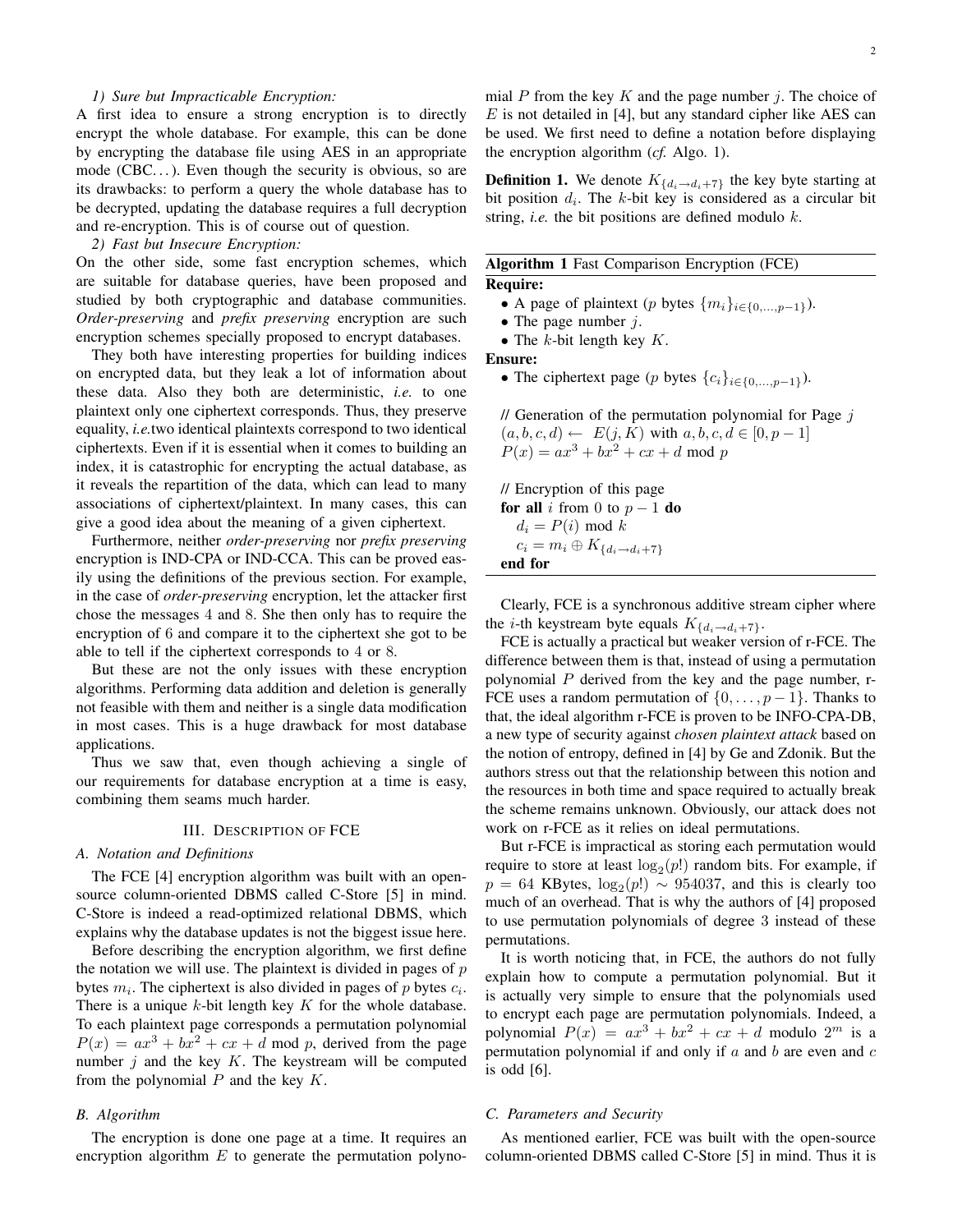## *1) Sure but Impracticable Encryption:*

A first idea to ensure a strong encryption is to directly encrypt the whole database. For example, this can be done by encrypting the database file using AES in an appropriate mode  $(CBC...)$ . Even though the security is obvious, so are its drawbacks: to perform a query the whole database has to be decrypted, updating the database requires a full decryption and re-encryption. This is of course out of question.

*2) Fast but Insecure Encryption:*

On the other side, some fast encryption schemes, which are suitable for database queries, have been proposed and studied by both cryptographic and database communities. *Order-preserving* and *prefix preserving* encryption are such encryption schemes specially proposed to encrypt databases.

They both have interesting properties for building indices on encrypted data, but they leak a lot of information about these data. Also they both are deterministic, *i.e.* to one plaintext only one ciphertext corresponds. Thus, they preserve equality, *i.e.*two identical plaintexts correspond to two identical ciphertexts. Even if it is essential when it comes to building an index, it is catastrophic for encrypting the actual database, as it reveals the repartition of the data, which can lead to many associations of ciphertext/plaintext. In many cases, this can give a good idea about the meaning of a given ciphertext.

Furthermore, neither *order-preserving* nor *prefix preserving* encryption is IND-CPA or IND-CCA. This can be proved easily using the definitions of the previous section. For example, in the case of *order-preserving* encryption, let the attacker first chose the messages 4 and 8. She then only has to require the encryption of 6 and compare it to the ciphertext she got to be able to tell if the ciphertext corresponds to 4 or 8.

But these are not the only issues with these encryption algorithms. Performing data addition and deletion is generally not feasible with them and neither is a single data modification in most cases. This is a huge drawback for most database applications.

Thus we saw that, even though achieving a single of our requirements for database encryption at a time is easy, combining them seams much harder.

## III. DESCRIPTION OF FCE

## *A. Notation and Definitions*

The FCE [4] encryption algorithm was built with an opensource column-oriented DBMS called C-Store [5] in mind. C-Store is indeed a read-optimized relational DBMS, which explains why the database updates is not the biggest issue here.

Before describing the encryption algorithm, we first define the notation we will use. The plaintext is divided in pages of  $p$ bytes  $m_i$ . The ciphertext is also divided in pages of p bytes  $c_i$ . There is a unique  $k$ -bit length key  $K$  for the whole database. To each plaintext page corresponds a permutation polynomial  $P(x) = ax^3 + bx^2 + cx + d$  mod p, derived from the page number  $j$  and the key  $K$ . The keystream will be computed from the polynomial  $P$  and the key  $K$ .

## *B. Algorithm*

The encryption is done one page at a time. It requires an encryption algorithm  $E$  to generate the permutation polynomial P from the key K and the page number  $i$ . The choice of  $E$  is not detailed in [4], but any standard cipher like AES can be used. We first need to define a notation before displaying the encryption algorithm (*cf.* Algo. 1).

**Definition 1.** We denote  $K_{\{d_i \to d_i + 7\}}$  the key byte starting at bit position  $d_i$ . The k-bit key is considered as a circular bit string, *i.e.* the bit positions are defined modulo k.

|                 | Algorithm 1 Fast Comparison Encryption (FCE) |  |
|-----------------|----------------------------------------------|--|
| <b>Require:</b> |                                              |  |

- A page of plaintext (p bytes  $\{m_i\}_{i \in \{0,\dots,p-1\}}$ ).
- The page number  $j$ .
- The  $k$ -bit length key  $K$ .

Ensure:

• The ciphertext page (p bytes  $\{c_i\}_{i\in\{0,\ldots,p-1\}}$ ).

 $\ell$  Generation of the permutation polynomial for Page  $j$  $(a, b, c, d) \leftarrow E(j, K)$  with  $a, b, c, d \in [0, p-1]$  $P(x) = ax^3 + bx^2 + cx + d \mod p$ 

// Encryption of this page for all i from 0 to  $p - 1$  do  $d_i = P(i) \mod k$  $c_i = m_i \oplus K_{\{d_i \to d_i + 7\}}$ end for

Clearly, FCE is a synchronous additive stream cipher where the *i*-th keystream byte equals  $K_{\{d_i \to d_i+7\}}$ .

FCE is actually a practical but weaker version of r-FCE. The difference between them is that, instead of using a permutation polynomial  $P$  derived from the key and the page number, r-FCE uses a random permutation of  $\{0, \ldots, p-1\}$ . Thanks to that, the ideal algorithm r-FCE is proven to be INFO-CPA-DB, a new type of security against *chosen plaintext attack* based on the notion of entropy, defined in [4] by Ge and Zdonik. But the authors stress out that the relationship between this notion and the resources in both time and space required to actually break the scheme remains unknown. Obviously, our attack does not work on r-FCE as it relies on ideal permutations.

But r-FCE is impractical as storing each permutation would require to store at least  $log_2(p!)$  random bits. For example, if  $p = 64$  KBytes,  $log_2(p!) \sim 954037$ , and this is clearly too much of an overhead. That is why the authors of [4] proposed to use permutation polynomials of degree 3 instead of these permutations.

It is worth noticing that, in FCE, the authors do not fully explain how to compute a permutation polynomial. But it is actually very simple to ensure that the polynomials used to encrypt each page are permutation polynomials. Indeed, a polynomial  $P(x) = ax^3 + bx^2 + cx + d$  modulo  $2^m$  is a permutation polynomial if and only if  $a$  and  $b$  are even and  $c$ is odd [6].

## *C. Parameters and Security*

As mentioned earlier, FCE was built with the open-source column-oriented DBMS called C-Store [5] in mind. Thus it is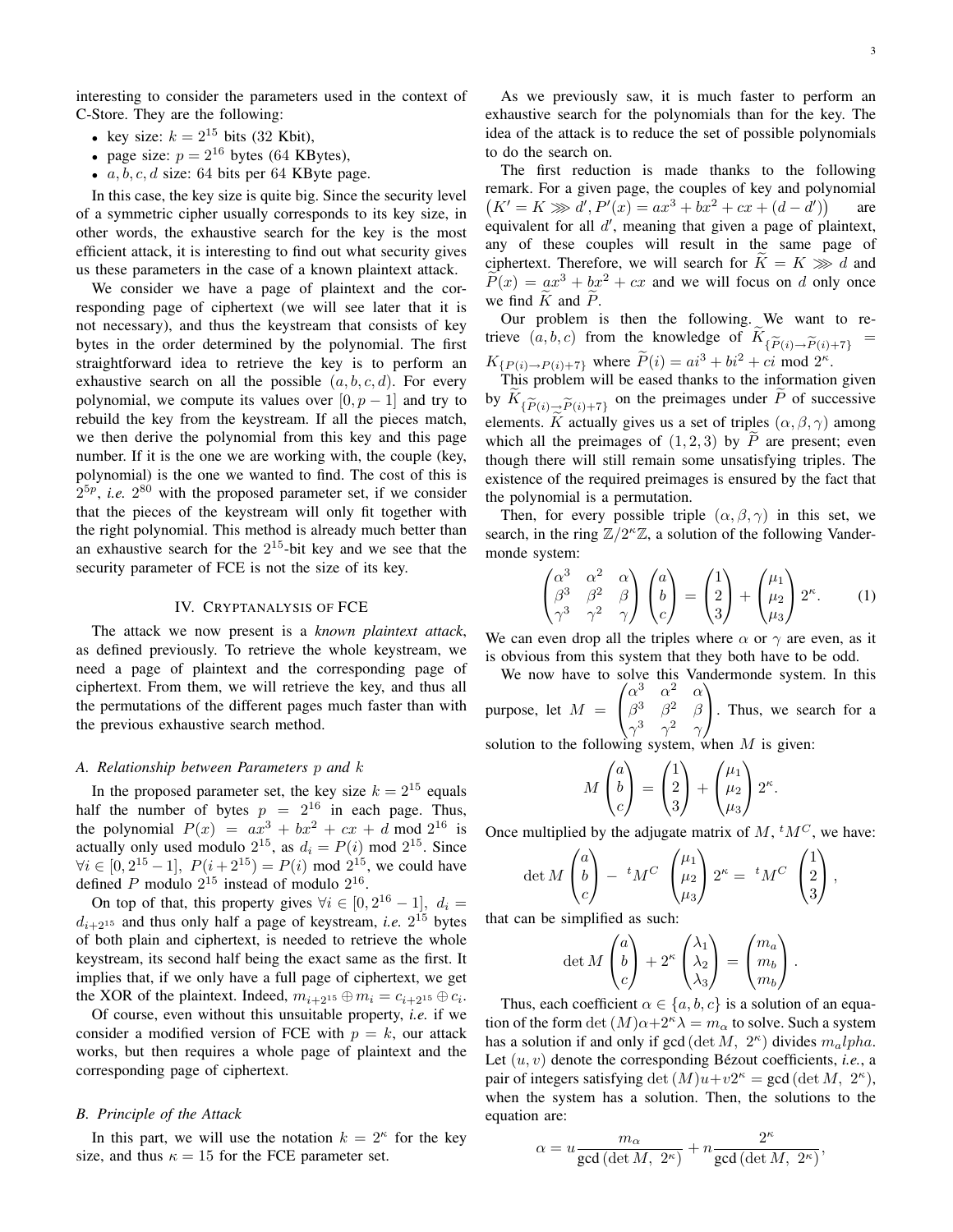interesting to consider the parameters used in the context of C-Store. They are the following:

- key size:  $k = 2^{15}$  bits (32 Kbit),
- page size:  $p = 2^{16}$  bytes (64 KBytes),
- $a, b, c, d$  size: 64 bits per 64 KByte page.

In this case, the key size is quite big. Since the security level of a symmetric cipher usually corresponds to its key size, in other words, the exhaustive search for the key is the most efficient attack, it is interesting to find out what security gives us these parameters in the case of a known plaintext attack.

We consider we have a page of plaintext and the corresponding page of ciphertext (we will see later that it is not necessary), and thus the keystream that consists of key bytes in the order determined by the polynomial. The first straightforward idea to retrieve the key is to perform an exhaustive search on all the possible  $(a, b, c, d)$ . For every polynomial, we compute its values over  $[0, p - 1]$  and try to rebuild the key from the keystream. If all the pieces match, we then derive the polynomial from this key and this page number. If it is the one we are working with, the couple (key, polynomial) is the one we wanted to find. The cost of this is  $2^{5p}$ , *i.e.*  $2^{80}$  with the proposed parameter set, if we consider that the pieces of the keystream will only fit together with the right polynomial. This method is already much better than an exhaustive search for the  $2^{15}$ -bit key and we see that the security parameter of FCE is not the size of its key.

## IV. CRYPTANALYSIS OF FCE

The attack we now present is a *known plaintext attack*, as defined previously. To retrieve the whole keystream, we need a page of plaintext and the corresponding page of ciphertext. From them, we will retrieve the key, and thus all the permutations of the different pages much faster than with the previous exhaustive search method.

#### *A. Relationship between Parameters* p *and* k

In the proposed parameter set, the key size  $k = 2^{15}$  equals half the number of bytes  $p = 2^{16}$  in each page. Thus, the polynomial  $P(x) = ax^3 + bx^2 + cx + d \mod 2^{16}$  is actually only used modulo  $2^{15}$ , as  $d_i = P(i)$  mod  $2^{15}$ . Since  $\forall i \in [0, 2^{15} - 1], P(i + 2^{15}) = P(i) \text{ mod } 2^{15}$ , we could have defined P modulo  $2^{15}$  instead of modulo  $2^{16}$ .

On top of that, this property gives  $\forall i \in [0, 2^{16} - 1]$ ,  $d_i =$  $d_{i+2^{15}}$  and thus only half a page of keystream, *i.e.*  $2^{15}$  bytes of both plain and ciphertext, is needed to retrieve the whole keystream, its second half being the exact same as the first. It implies that, if we only have a full page of ciphertext, we get the XOR of the plaintext. Indeed,  $m_{i+2^{15}} \oplus m_i = c_{i+2^{15}} \oplus c_i$ .

Of course, even without this unsuitable property, *i.e.* if we consider a modified version of FCE with  $p = k$ , our attack works, but then requires a whole page of plaintext and the corresponding page of ciphertext.

## *B. Principle of the Attack*

In this part, we will use the notation  $k = 2<sup>\kappa</sup>$  for the key size, and thus  $\kappa = 15$  for the FCE parameter set.

As we previously saw, it is much faster to perform an exhaustive search for the polynomials than for the key. The idea of the attack is to reduce the set of possible polynomials to do the search on.

The first reduction is made thanks to the following remark. For a given page, the couples of key and polynomial  $(K' = K \gg d', P'(x) = ax^3 + bx^2 + cx + (d - d'))$ are equivalent for all  $d'$ , meaning that given a page of plaintext, any of these couples will result in the same page of ciphertext. Therefore, we will search for  $K = K \gg d$  and  $\widetilde{P}(x) = ax^3 + bx^2 + cx$  and we will focus on d only once we find  $\tilde{K}$  and  $\tilde{P}$ .

Our problem is then the following. We want to retrieve  $(a, b, c)$  from the knowledge of  $K_{\{\widetilde{P}(i) \to \widetilde{P}(i) + 7\}}$  $K_{\{P(i) \to P(i)+7\}}$  where  $\tilde{P}(i) = ai^3 + bi^2 + ci$  mod  $2^k$ .

This problem will be eased thanks to the information given by  $K_{\{\widetilde{P}(i)\to \widetilde{P}(i)+7\}}$  on the preimages under P of successive<br>elements  $\widetilde{K}$  actually gives us a set of triples  $(\alpha, \beta, \alpha)$  among elements. K actually gives us a set of triples  $(\alpha, \beta, \gamma)$  among which all the preimages of  $(1, 2, 3)$  by  $\tilde{P}$  are present; even though there will still remain some unsatisfying triples. The existence of the required preimages is ensured by the fact that the polynomial is a permutation.

Then, for every possible triple  $(\alpha, \beta, \gamma)$  in this set, we search, in the ring  $\mathbb{Z}/2^k\mathbb{Z}$ , a solution of the following Vandermonde system:

$$
\begin{pmatrix}\n\alpha^3 & \alpha^2 & \alpha \\
\beta^3 & \beta^2 & \beta \\
\gamma^3 & \gamma^2 & \gamma\n\end{pmatrix}\n\begin{pmatrix}\na \\
b \\
c\n\end{pmatrix} =\n\begin{pmatrix}\n1 \\
2 \\
3\n\end{pmatrix} +\n\begin{pmatrix}\n\mu_1 \\
\mu_2 \\
\mu_3\n\end{pmatrix} 2^\kappa.
$$
\n(1)

We can even drop all the triples where  $\alpha$  or  $\gamma$  are even, as it is obvious from this system that they both have to be odd.

We now have to solve this Vandermonde system. In this purpose, let  $M =$  $\sqrt{ }$  $\mathcal{L}$  $\alpha^3$   $\alpha^2$   $\alpha$  $\beta^3$   $\beta^2$   $\beta$  $\gamma^3$   $\gamma^2$   $\gamma$  $\setminus$ . Thus, we search for a

solution to the following system, when  $M$  is given:

$$
M\begin{pmatrix}a\\b\\c\end{pmatrix}=\begin{pmatrix}1\\2\\3\end{pmatrix}+\begin{pmatrix}\mu_1\\ \mu_2\\ \mu_3\end{pmatrix}2^{\kappa}.
$$

Once multiplied by the adjugate matrix of  $M$ ,  ${}^tM^C$ , we have:

$$
\det M \begin{pmatrix} a \\ b \\ c \end{pmatrix} - {}^{t}M^{C} \begin{pmatrix} \mu_1 \\ \mu_2 \\ \mu_3 \end{pmatrix} 2^{\kappa} = {}^{t}M^{C} \begin{pmatrix} 1 \\ 2 \\ 3 \end{pmatrix},
$$

that can be simplified as such:

$$
\det M \begin{pmatrix} a \\ b \\ c \end{pmatrix} + 2^{\kappa} \begin{pmatrix} \lambda_1 \\ \lambda_2 \\ \lambda_3 \end{pmatrix} = \begin{pmatrix} m_a \\ m_b \\ m_b \end{pmatrix}.
$$

Thus, each coefficient  $\alpha \in \{a, b, c\}$  is a solution of an equation of the form det  $(M)\alpha+2\alpha\lambda=m_\alpha$  to solve. Such a system has a solution if and only if gcd (det M,  $2^{\kappa}$ ) divides  $m_a lpha$ . Let  $(u, v)$  denote the corresponding Bézout coefficients, *i.e.*, a pair of integers satisfying det  $(M)u+v2^{\kappa} = \gcd(\det M, 2^{\kappa}),$ when the system has a solution. Then, the solutions to the equation are:

$$
\alpha = u \frac{m_{\alpha}}{\gcd(\det M, 2^{\kappa})} + n \frac{2^{\kappa}}{\gcd(\det M, 2^{\kappa})},
$$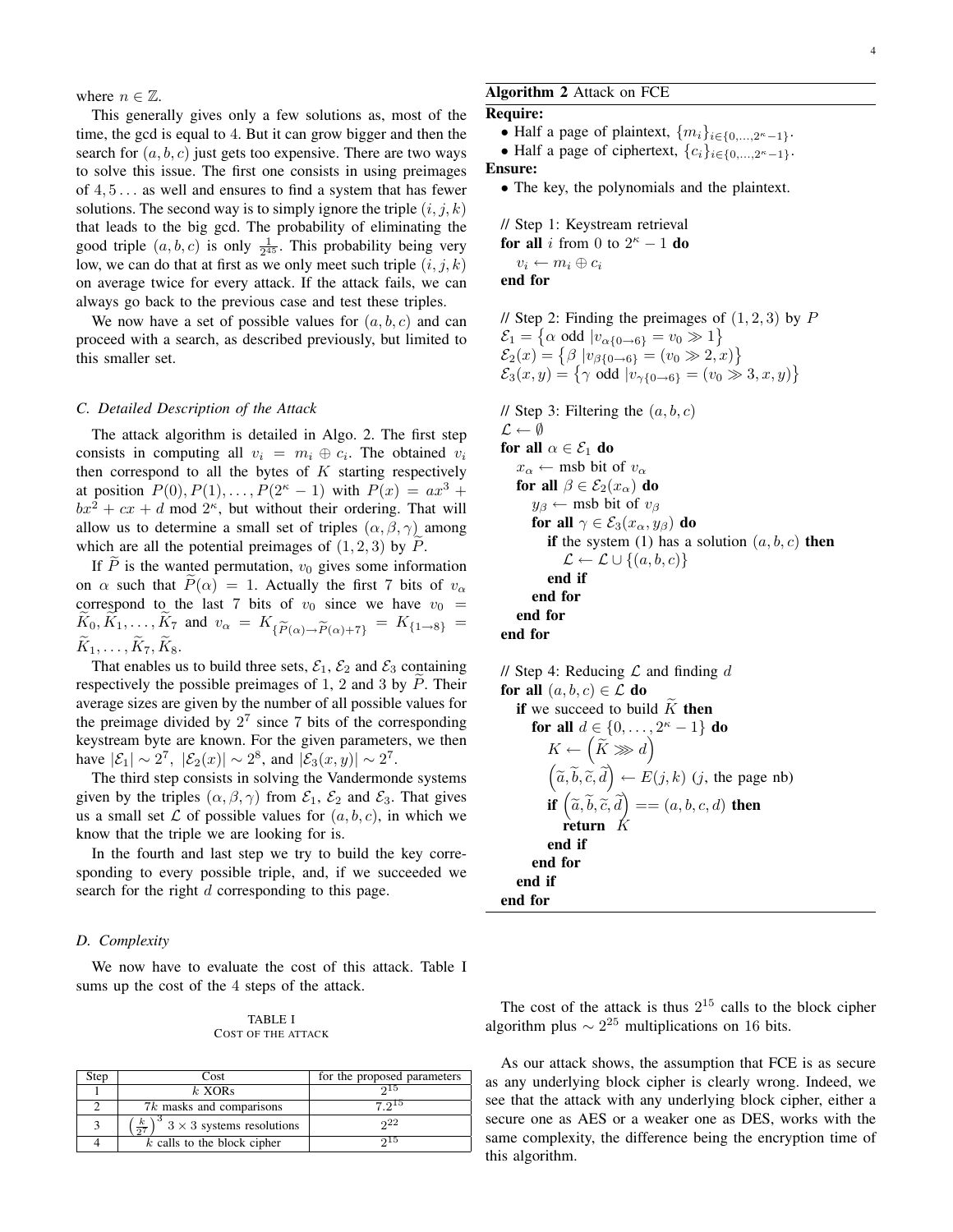where  $n \in \mathbb{Z}$ .

This generally gives only a few solutions as, most of the time, the gcd is equal to 4. But it can grow bigger and then the search for  $(a, b, c)$  just gets too expensive. There are two ways to solve this issue. The first one consists in using preimages of 4, 5 . . . as well and ensures to find a system that has fewer solutions. The second way is to simply ignore the triple  $(i, j, k)$ that leads to the big gcd. The probability of eliminating the good triple  $(a, b, c)$  is only  $\frac{1}{2^{45}}$ . This probability being very low, we can do that at first as we only meet such triple  $(i, j, k)$ on average twice for every attack. If the attack fails, we can always go back to the previous case and test these triples.

We now have a set of possible values for  $(a, b, c)$  and can proceed with a search, as described previously, but limited to this smaller set.

## *C. Detailed Description of the Attack*

The attack algorithm is detailed in Algo. 2. The first step consists in computing all  $v_i = m_i \oplus c_i$ . The obtained  $v_i$ then correspond to all the bytes of  $K$  starting respectively at position  $P(0), P(1), \ldots, P(2^{\kappa} - 1)$  with  $P(x) = ax^3 +$  $bx^2 + cx + d$  mod  $2<sup>\kappa</sup>$ , but without their ordering. That will allow us to determine a small set of triples  $(\alpha, \beta, \gamma)$  among which are all the potential preimages of  $(1, 2, 3)$  by P.

If  $\overline{P}$  is the wanted permutation,  $v_0$  gives some information on  $\alpha$  such that  $\hat{P}(\alpha) = 1$ . Actually the first 7 bits of  $v_{\alpha}$ correspond to the last 7 bits of  $v_0$  since we have  $v_0$  =  $K_0, K_1, \ldots, K_7$  and  $v_\alpha = K_{\{\widetilde{P}(\alpha) \to \widetilde{P}(\alpha) + 7\}} = K_{\{1 \to 8\}} = \widetilde{K}_1$  $K_1, \ldots, K_7, K_8.$ 

That enables us to build three sets,  $\mathcal{E}_1$ ,  $\mathcal{E}_2$  and  $\mathcal{E}_3$  containing respectively the possible preimages of 1, 2 and 3 by  $P$ . Their average sizes are given by the number of all possible values for the preimage divided by  $2^7$  since 7 bits of the corresponding keystream byte are known. For the given parameters, we then have  $|\mathcal{E}_1| \sim 2^7$ ,  $|\mathcal{E}_2(x)| \sim 2^8$ , and  $|\mathcal{E}_3(x, y)| \sim 2^7$ .

The third step consists in solving the Vandermonde systems given by the triples  $(\alpha, \beta, \gamma)$  from  $\mathcal{E}_1$ ,  $\mathcal{E}_2$  and  $\mathcal{E}_3$ . That gives us a small set  $\mathcal L$  of possible values for  $(a, b, c)$ , in which we know that the triple we are looking for is.

In the fourth and last step we try to build the key corresponding to every possible triple, and, if we succeeded we search for the right d corresponding to this page.

## *D. Complexity*

We now have to evaluate the cost of this attack. Table I sums up the cost of the 4 steps of the attack.

TABLE I COST OF THE ATTACK

| Step | Cost                                                    | for the proposed parameters |
|------|---------------------------------------------------------|-----------------------------|
|      | $k$ XORs                                                |                             |
|      | 7k masks and comparisons                                | 7.915                       |
|      | $\left(\frac{k}{27}\right)^3$ 3 × 3 systems resolutions | 22                          |
|      | $k$ calls to the block cipher                           | പാ                          |

## Algorithm 2 Attack on FCE

Require:

- Half a page of plaintext,  $\{m_i\}_{i \in \{0,\dots,2^{\kappa}-1\}}$ .
- Half a page of ciphertext,  $\{c_i\}_{i\in\{0,\ldots,2^{\kappa}-1\}}$ .

## Ensure:

• The key, the polynomials and the plaintext.

// Step 1: Keystream retrieval for all i from 0 to  $2^{\kappa} - 1$  do  $v_i \leftarrow m_i \oplus c_i$ end for

// Step 2: Finding the preimages of  $(1, 2, 3)$  by  $P$  $\mathcal{E}_1 = \left\{ \alpha \text{ odd } |v_{\alpha \{0 \to 6\}} = v_0 \gg 1 \right\}$  $\mathcal{E}_2(x) = \{ \beta \, | v_{\beta \{0 \to 6\}} = (v_0 \gg 2, x) \}$  $\mathcal{E}_3(x,y) = \{ \gamma \text{ odd } |v_{\gamma\{0\to 6\}} = (v_0 \gg 3, x, y) \}$ 

// Step 3: Filtering the  $(a, b, c)$  $\mathcal{L} \leftarrow \emptyset$ for all  $\alpha \in \mathcal{E}_1$  do  $x_{\alpha} \leftarrow$  msb bit of  $v_{\alpha}$ for all  $\beta \in \mathcal{E}_2(x_\alpha)$  do  $y_\beta \leftarrow$  msb bit of  $v_\beta$ for all  $\gamma \in \mathcal{E}_3(x_\alpha, y_\beta)$  do if the system (1) has a solution  $(a, b, c)$  then  $\mathcal{L} \leftarrow \mathcal{L} \cup \{(a, b, c)\}\$ end if end for end for end for

// Step 4: Reducing  $\mathcal L$  and finding d for all  $(a, b, c) \in \mathcal{L}$  do if we succeed to build  $\tilde{K}$  then for all  $d \in \{0, ..., 2^{\kappa} - 1\}$  do  $K \leftarrow \left(\widetilde{K} \ggg d\right)$  $(\tilde{a}, \tilde{b}, \tilde{c}, \tilde{d}) \leftarrow E(j, k)$  (j, the page nb) if  $\left(\widetilde{a}, \widetilde{b}, \widetilde{c}, \widetilde{d}\right) = (a, b, c, d)$  then return K end if end for end if end for

The cost of the attack is thus  $2^{15}$  calls to the block cipher algorithm plus  $\sim 2^{25}$  multiplications on 16 bits.

As our attack shows, the assumption that FCE is as secure as any underlying block cipher is clearly wrong. Indeed, we see that the attack with any underlying block cipher, either a secure one as AES or a weaker one as DES, works with the same complexity, the difference being the encryption time of this algorithm.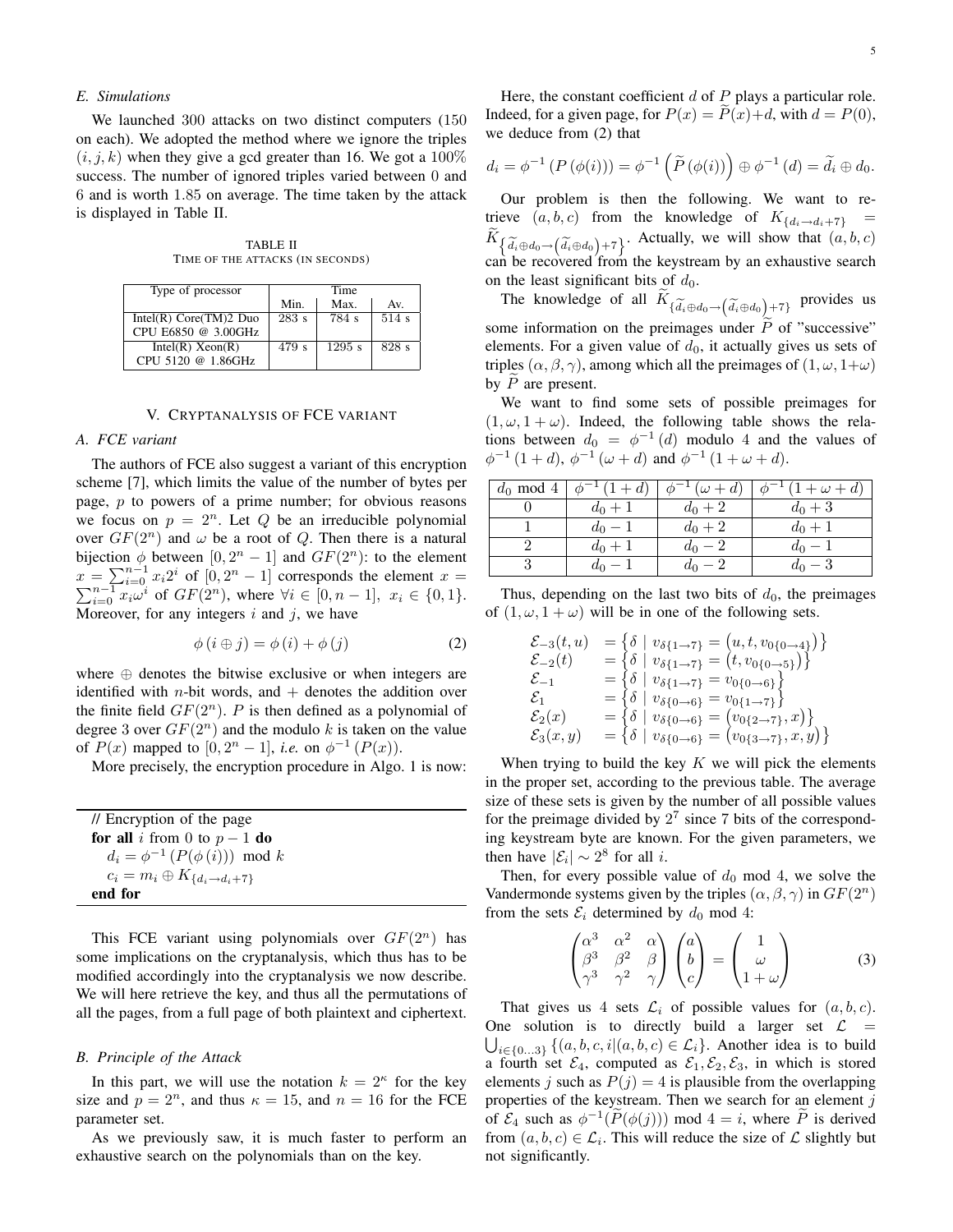## *E. Simulations*

We launched 300 attacks on two distinct computers (150 on each). We adopted the method where we ignore the triples  $(i, j, k)$  when they give a gcd greater than 16. We got a 100% success. The number of ignored triples varied between 0 and 6 and is worth 1.85 on average. The time taken by the attack is displayed in Table II.

TABLE II TIME OF THE ATTACKS (IN SECONDS)

| Type of processor        | Time  |          |       |
|--------------------------|-------|----------|-------|
|                          | Min.  | Max.     | Av.   |
| Intel(R) $Core(TM)2$ Duo | 283 s | 784 s    | 514s  |
| CPU E6850 @ 3.00GHz      |       |          |       |
| Intel(R) Xeon(R)         | 479 s | $1295$ s | 828 s |
| CPU 5120 @ 1.86GHz       |       |          |       |

#### V. CRYPTANALYSIS OF FCE VARIANT

## *A. FCE variant*

The authors of FCE also suggest a variant of this encryption scheme [7], which limits the value of the number of bytes per page,  $p$  to powers of a prime number; for obvious reasons we focus on  $p = 2^n$ . Let Q be an irreducible polynomial over  $GF(2^n)$  and  $\omega$  be a root of Q. Then there is a natural bijection  $\phi$  between  $[0, 2^n - 1]$  and  $GF(2^n)$ : to the element  $x = \sum_{i=0}^{n-1} x_i 2^i$  of  $[0, 2]$ P  $=\sum_{i=0}^{n-1} x_i 2^i$  of  $[0, 2^n - 1]$  corresponds the element  $x =$ <br>  $\sum_{i=0}^{n-1} x_i \omega^i$  of  $GF(2^n)$ , where ∀i ∈  $[0, n - 1]$ ,  $x_i \in \{0, 1\}$ . Moreover, for any integers  $i$  and  $j$ , we have

$$
\phi(i \oplus j) = \phi(i) + \phi(j) \tag{2}
$$

where  $oplus$  denotes the bitwise exclusive or when integers are identified with *n*-bit words, and  $+$  denotes the addition over the finite field  $GF(2<sup>n</sup>)$ . P is then defined as a polynomial of degree 3 over  $GF(2<sup>n</sup>)$  and the modulo k is taken on the value of  $P(x)$  mapped to  $[0, 2<sup>n</sup> - 1]$ , *i.e.* on  $\phi^{-1}(P(x))$ .

More precisely, the encryption procedure in Algo. 1 is now:

| // Encryption of the page                          |  |
|----------------------------------------------------|--|
| <b>for all</b> i from 0 to $p-1$ <b>do</b>         |  |
| $d_i = \phi^{-1} (P(\phi(i))) \mod k$              |  |
| $c_i = m_i \oplus K_{\{d_i \rightarrow d_i + 7\}}$ |  |
| end for                                            |  |

This FCE variant using polynomials over  $GF(2<sup>n</sup>)$  has some implications on the cryptanalysis, which thus has to be modified accordingly into the cryptanalysis we now describe. We will here retrieve the key, and thus all the permutations of all the pages, from a full page of both plaintext and ciphertext.

## *B. Principle of the Attack*

In this part, we will use the notation  $k = 2<sup>\kappa</sup>$  for the key size and  $p = 2^n$ , and thus  $\kappa = 15$ , and  $n = 16$  for the FCE parameter set.

As we previously saw, it is much faster to perform an exhaustive search on the polynomials than on the key.

5

Here, the constant coefficient  $d$  of  $P$  plays a particular role. Indeed, for a given page, for  $P(x) = P(x)+d$ , with  $d = P(0)$ , we deduce from (2) that

$$
d_i = \phi^{-1}(P(\phi(i))) = \phi^{-1}(\tilde{P}(\phi(i))) \oplus \phi^{-1}(d) = \tilde{d}_i \oplus d_0.
$$

Our problem is then the following. We want to retrieve  $(a, b, c)$  from the knowledge of  $K_{\{d_i \to d_i+7\}}$  =  $K_{\{\widetilde{d}_i \oplus d_0 \to \{\widetilde{d}_i \oplus d_0\} + 7\}}$ . Actually, we will show that  $(a, b, c)$ <br>can be recovered from the keystream by an exhaustive search can be recovered from the keystream by an exhaustive search on the least significant bits of  $d_0$ .

The knowledge of all  $K_{\{\widetilde{d}_i \oplus d_0 \rightarrow (\widetilde{d}_i \oplus d_0) + 7\}}$  provides us some information on the preimages under  $\tilde{P}$  of "successive" elements. For a given value of  $d_0$ , it actually gives us sets of triples  $(\alpha, \beta, \gamma)$ , among which all the preimages of  $(1, \omega, 1+\omega)$ by  $\tilde{P}$  are present.

We want to find some sets of possible preimages for  $(1, \omega, 1 + \omega)$ . Indeed, the following table shows the relations between  $d_0 = \phi^{-1}(d)$  modulo 4 and the values of  $\phi^{-1}(1+d)$ ,  $\phi^{-1}(\omega+d)$  and  $\phi^{-1}(1+\omega+d)$ .

| $d_0$ mod 4 | $\phi^{-1}(1+d)$ | $\phi^{-1}(\omega+d)$ | $\phi^{-1}(1+\omega+d)$ |
|-------------|------------------|-----------------------|-------------------------|
|             | $d_0 + 1$        | $d_0 + 2$             | $d_0 + 3$               |
|             | $d_0 - 1$        | $d_0 + 2$             | $d_0 + 1$               |
|             | $d_0 + 1$        | $d_0 - 2$             | $d_0 - 1$               |
|             | $d_0 - 1$        | $d_0 - 2$             | $d_0 - 3$               |

Thus, depending on the last two bits of  $d_0$ , the preimages of  $(1, \omega, 1 + \omega)$  will be in one of the following sets.

$$
\begin{array}{ll}\n\mathcal{E}_{-3}(t,u) &= \{ \delta \mid v_{\delta\{1\to 7\}} = (u,t,v_{0\{0\to 4\}}) \} \\
\mathcal{E}_{-2}(t) &= \{ \delta \mid v_{\delta\{1\to 7\}} = (t,v_{0\{0\to 5\}}) \} \\
\mathcal{E}_{-1} &= \{ \delta \mid v_{\delta\{1\to 7\}} = v_{0\{0\to 6\}} \} \\
\mathcal{E}_{1} &= \{ \delta \mid v_{\delta\{0\to 6\}} = v_{0\{1\to 7\}} \} \\
\mathcal{E}_{2}(x) &= \{ \delta \mid v_{\delta\{0\to 6\}} = (v_{0\{2\to 7\}},x) \} \\
\mathcal{E}_{3}(x,y) &= \{ \delta \mid v_{\delta\{0\to 6\}} = (v_{0\{3\to 7\}},x,y) \}\n\end{array}
$$

When trying to build the key  $K$  we will pick the elements in the proper set, according to the previous table. The average size of these sets is given by the number of all possible values for the preimage divided by  $2^7$  since 7 bits of the corresponding keystream byte are known. For the given parameters, we then have  $|\mathcal{E}_i| \sim 2^8$  for all *i*.

Then, for every possible value of  $d_0$  mod 4, we solve the Vandermonde systems given by the triples  $(\alpha, \beta, \gamma)$  in  $GF(2^n)$ from the sets  $\mathcal{E}_i$  determined by  $d_0$  mod 4:

$$
\begin{pmatrix}\n\alpha^3 & \alpha^2 & \alpha \\
\beta^3 & \beta^2 & \beta \\
\gamma^3 & \gamma^2 & \gamma\n\end{pmatrix}\n\begin{pmatrix}\na \\
b \\
c\n\end{pmatrix} =\n\begin{pmatrix}\n1 \\
\omega \\
1+\omega\n\end{pmatrix}
$$
\n(3)

That gives us 4 sets  $\mathcal{L}_i$  of possible values for  $(a, b, c)$ . One solution is to directly build a larger set  $\mathcal{L}$  =  $\bigcup_{i \in \{0...3\}} \{(a, b, c, i | (a, b, c) \in \mathcal{L}_i\}.$  Another idea is to build a fourth set  $\mathcal{E}_4$ , computed as  $\mathcal{E}_1, \mathcal{E}_2, \mathcal{E}_3$ , in which is stored elements j such as  $P(j) = 4$  is plausible from the overlapping properties of the keystream. Then we search for an element  $j$ of  $\mathcal{E}_4$  such as  $\phi^{-1}(\tilde{P}(\phi(j)))$  mod  $4 = i$ , where  $\tilde{P}$  is derived from  $(a, b, c) \in \mathcal{L}_i$ . This will reduce the size of  $\mathcal L$  slightly but not significantly.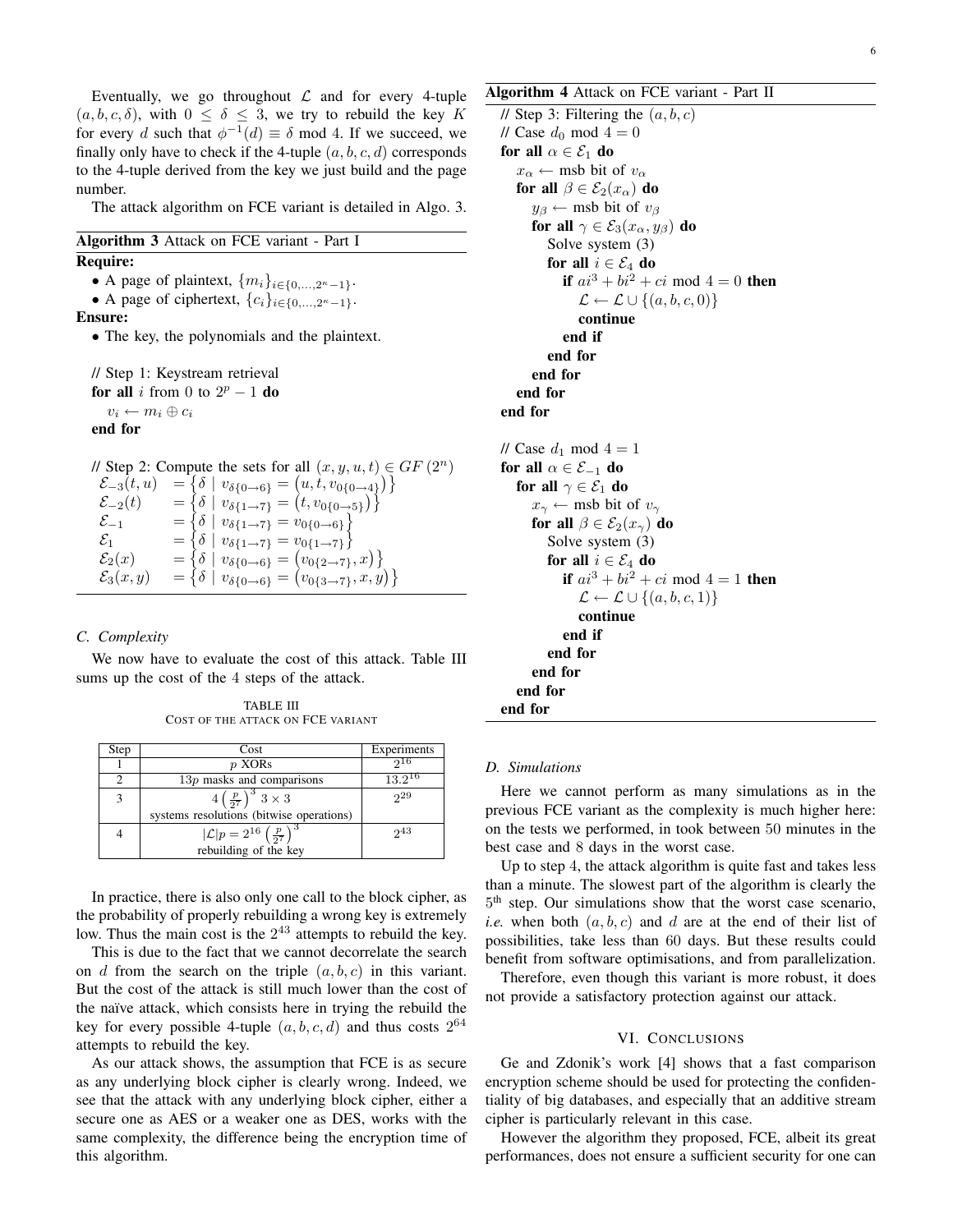Eventually, we go throughout  $\mathcal L$  and for every 4-tuple  $(a, b, c, \delta)$ , with  $0 \leq \delta \leq 3$ , we try to rebuild the key K for every d such that  $\phi^{-1}(d) \equiv \delta \mod 4$ . If we succeed, we finally only have to check if the 4-tuple  $(a, b, c, d)$  corresponds to the 4-tuple derived from the key we just build and the page number.

The attack algorithm on FCE variant is detailed in Algo. 3.

## Algorithm 3 Attack on FCE variant - Part I

## Require:

- A page of plaintext,  $\{m_i\}_{i\in\{0,\ldots,2^{\kappa}-1\}}$ .
- A page of ciphertext,  $\{c_i\}_{i\in\{0,\ldots,2^{\kappa}-1\}}$ .

## Ensure:

• The key, the polynomials and the plaintext.

```
// Step 1: Keystream retrieval
for all i from 0 to 2^p - 1 do
   v_i \leftarrow m_i \oplus c_iend for
```
// Step 2: Compute the sets for all  $(x, y, u, t) \in GF(2^n)$ 

| $\mathcal{E}_{-3}(t,u)$ | $=\{\delta \mid v_{\delta{0 \to 6}} = (u, t, v_{0{0 \to 4}})\}\$             |  |
|-------------------------|------------------------------------------------------------------------------|--|
| $\mathcal{E}_{-2}(t)$   | = { $\delta   v_{\delta\{1\rightarrow 7\}} = (t, v_{0\{0\rightarrow 5\}})$ } |  |
| $\mathcal{E}_{-1}$      | $=\{\delta \mid v_{\delta\{1\rightarrow 7\}}=v_{0\{0\rightarrow 6\}}\}$      |  |
| $\mathcal{E}_1$         | $=\{\delta \mid v_{\delta\{1\rightarrow 7\}}=v_{0\{1\rightarrow 7\}}\}$      |  |
| $\mathcal{E}_2(x)$      | = { $\delta$   $v_{\delta\{0\to6\}}$ = $(v_{0\{2\to7\}}, x)$ }               |  |
| $\mathcal{E}_3(x,y)$    | $=\{\delta \mid v_{\delta\{0\}\delta\}} = (v_{0\{3\}\gamma}, x, y)$          |  |

## *C. Complexity*

We now have to evaluate the cost of this attack. Table III sums up the cost of the 4 steps of the attack.

TABLE III COST OF THE ATTACK ON FCE VARIANT

| Step | Cost                                                                            | Experiments |
|------|---------------------------------------------------------------------------------|-------------|
|      | p XORs                                                                          | 916         |
|      | $13p$ masks and comparisons                                                     | $13.2^{16}$ |
|      | $4\left(\frac{p}{2^7}\right)^3 3 \times 3$                                      | 29          |
|      | systems resolutions (bitwise operations)                                        |             |
|      | $ \mathcal{L} p = 2^{16} \left(\frac{p}{2^7}\right)^3$<br>rebuilding of the key | 243         |
|      |                                                                                 |             |

In practice, there is also only one call to the block cipher, as the probability of properly rebuilding a wrong key is extremely low. Thus the main cost is the  $2^{43}$  attempts to rebuild the key.

This is due to the fact that we cannot decorrelate the search on d from the search on the triple  $(a, b, c)$  in this variant. But the cost of the attack is still much lower than the cost of the naïve attack, which consists here in trying the rebuild the key for every possible 4-tuple  $(a, b, c, d)$  and thus costs  $2^{64}$ attempts to rebuild the key.

As our attack shows, the assumption that FCE is as secure as any underlying block cipher is clearly wrong. Indeed, we see that the attack with any underlying block cipher, either a secure one as AES or a weaker one as DES, works with the same complexity, the difference being the encryption time of this algorithm.

## Algorithm 4 Attack on FCE variant - Part II

// Step 3: Filtering the  $(a, b, c)$ // Case  $d_0$  mod  $4 = 0$ for all  $\alpha \in \mathcal{E}_1$  do  $x_\alpha \leftarrow$  msb bit of  $v_\alpha$ for all  $\beta \in \mathcal{E}_2(x_\alpha)$  do  $y_\beta \leftarrow$  msb bit of  $v_\beta$ for all  $\gamma \in \mathcal{E}_3(x_\alpha, y_\beta)$  do Solve system (3) for all  $i \in \mathcal{E}_4$  do if  $ai^3 + bi^2 + ci$  mod  $4 = 0$  then  $\mathcal{L} \leftarrow \mathcal{L} \cup \{(a, b, c, 0)\}\$ continue end if end for end for end for end for // Case  $d_1$  mod  $4 = 1$ for all  $\alpha \in \mathcal{E}_{-1}$  do for all  $\gamma \in \mathcal{E}_1$  do  $x_{\gamma} \leftarrow$  msb bit of  $v_{\gamma}$ for all  $\beta \in \mathcal{E}_2(x_\gamma)$  do Solve system (3) for all  $i \in \mathcal{E}_4$  do **if**  $ai^3 + bi^2 + ci$  mod  $4 = 1$  **then**  $\mathcal{L} \leftarrow \mathcal{L} \cup \{(a, b, c, 1)\}\$ continue end if end for end for end for end for

## *D. Simulations*

Here we cannot perform as many simulations as in the previous FCE variant as the complexity is much higher here: on the tests we performed, in took between 50 minutes in the best case and 8 days in the worst case.

Up to step 4, the attack algorithm is quite fast and takes less than a minute. The slowest part of the algorithm is clearly the 5 th step. Our simulations show that the worst case scenario, *i.e.* when both  $(a, b, c)$  and d are at the end of their list of possibilities, take less than 60 days. But these results could benefit from software optimisations, and from parallelization.

Therefore, even though this variant is more robust, it does not provide a satisfactory protection against our attack.

#### VI. CONCLUSIONS

Ge and Zdonik's work [4] shows that a fast comparison encryption scheme should be used for protecting the confidentiality of big databases, and especially that an additive stream cipher is particularly relevant in this case.

However the algorithm they proposed, FCE, albeit its great performances, does not ensure a sufficient security for one can